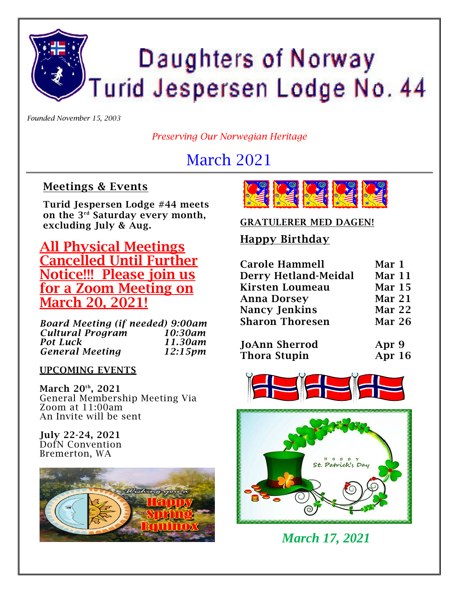# Daughters of Norway Turid Jespersen Lodge No. 44

*Founded November 15, 2003*

*Preserving Our Norwegian Heritage*

# March 2021

#### **Meetings & Events**

**Turid Jespersen Lodge #44 meets on the 3rd Saturday every month, excluding July & Aug.**

**All Physical Meetings Cancelled Until Further Notice!!! Please join us for a Zoom Meeting on March 20, 2021!**

*Board Meeting (if needed) 9:00am Cultural Program 10:30am* **Pot Luck** *General Meeting 12:15pm*

**UPCOMING EVENTS**

**March 20th, 2021** General Membership Meeting Via Zoom at 11:00am An Invite will be sent

**July 22-24, 2021** DofN Convention Bremerton, WA





#### **GRATULERER MED DAGEN!**

#### **Happy Birthday**

| <b>Carole Hammell</b>       | Mar 1         |
|-----------------------------|---------------|
| <b>Derry Hetland-Meidal</b> | Mar 11        |
| <b>Kirsten Loumeau</b>      | <b>Mar 15</b> |
| <b>Anna Dorsey</b>          | Mar 21        |
| <b>Nancy Jenkins</b>        | Mar 22        |
| <b>Sharon Thoresen</b>      | Mar 26        |
|                             |               |
|                             |               |

| JoAnn Sherrod       | Apr 9    |
|---------------------|----------|
| <b>Thora Stupin</b> | Apr $16$ |





*March 17, 2021*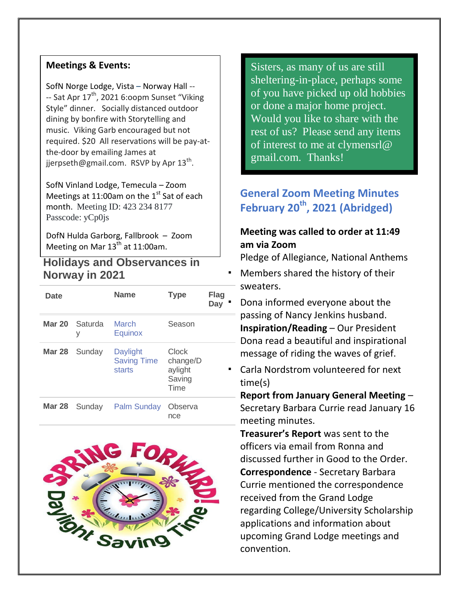#### **Meetings & Events:**

SofN Norge Lodge, Vista – Norway Hall -- -- Sat Apr 17<sup>th</sup>, 2021 6:oopm Sunset "Viking Style" dinner. Socially distanced outdoor dining by bonfire with Storytelling and music. Viking Garb encouraged but not required. \$20 All reservations will be pay-atthe-door by emailing James at [jjerpseth@gmail.com.](mailto:jjerpseth@gmail.com) RSVP by Apr 13<sup>th</sup>.

SofN Vinland Lodge, Temecula – Zoom Meetings at 11:00am on the  $1^{st}$  Sat of each month. Meeting ID: 423 234 8177 Passcode: yCp0js

DofN Hulda Garborg, Fallbrook – Zoom Meeting on Mar  $13^{th}$  at 11:00am.

#### **Holidays and Observances in Norway in 2021**

| Date |                      | <b>Name</b>                              | <b>Type</b>                                    | <b>Flag</b><br>Day |
|------|----------------------|------------------------------------------|------------------------------------------------|--------------------|
|      | Mar 20 Saturda<br>٧  | March<br>Equinox                         | Season                                         |                    |
|      | Mar 28 Sunday        | Daylight<br><b>Saving Time</b><br>starts | Clock<br>change/D<br>aylight<br>Saving<br>Time |                    |
|      | <b>Mar 28</b> Sunday | Palm Sunday                              | Observa<br>nce                                 |                    |



Sisters, as many of us are still sheltering-in-place, perhaps some of you have picked up old hobbies or done a major home project. Would you like to share with the rest of us? Please send any items of interest to me at [clymensrl@](mailto:clymensrl@gmail.com)  [gmail.com.](mailto:clymensrl@gmail.com) Thanks!

### **General Zoom Meeting Minutes February 20th, 2021 (Abridged)**

#### **Meeting was called to order at 11:49 am via Zoom**

Pledge of Allegiance, National Anthems

- Members shared the history of their sweaters.
	- Dona informed everyone about the passing of Nancy Jenkins husband. **Inspiration/Reading** – Our President Dona read a beautiful and inspirational message of riding the waves of grief.
- Carla Nordstrom volunteered for next time(s)

**Report from January General Meeting** – Secretary Barbara Currie read January 16 meeting minutes.

**Treasurer's Report** was sent to the officers via email from Ronna and discussed further in Good to the Order. **Correspondence** - Secretary Barbara Currie mentioned the correspondence received from the Grand Lodge regarding College/University Scholarship applications and information about upcoming Grand Lodge meetings and convention.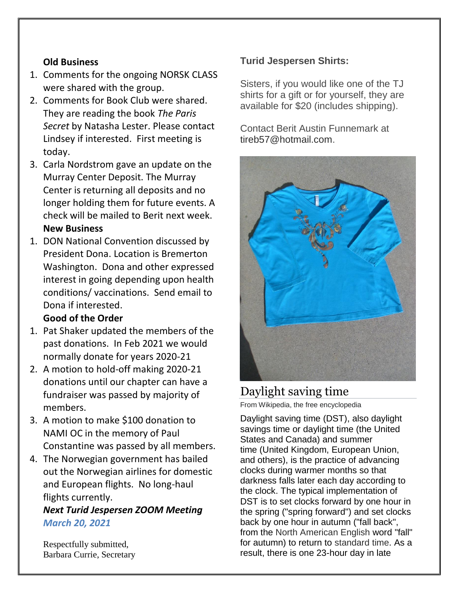#### **Old Business**

- 1. Comments for the ongoing NORSK CLASS were shared with the group.
- 2. Comments for Book Club were shared. They are reading the book *The Paris Secret* by Natasha Lester. Please contact Lindsey if interested. First meeting is today.
- 3. Carla Nordstrom gave an update on the Murray Center Deposit. The Murray Center is returning all deposits and no longer holding them for future events. A check will be mailed to Berit next week. **New Business**

1. DON National Convention discussed by President Dona. Location is Bremerton Washington. Dona and other expressed interest in going depending upon health conditions/ vaccinations. Send email to Dona if interested.

#### **Good of the Order**

- 1. Pat Shaker updated the members of the past donations. In Feb 2021 we would normally donate for years 2020-21
- 2. A motion to hold-off making 2020-21 donations until our chapter can have a fundraiser was passed by majority of members.
- 3. A motion to make \$100 donation to NAMI OC in the memory of Paul Constantine was passed by all members.
- 4. The Norwegian government has bailed out the Norwegian airlines for domestic and European flights. No long-haul flights currently.

#### *Next Turid Jespersen ZOOM Meeting March 20, 2021*

Respectfully submitted, Barbara Currie, Secretary

#### **Turid Jespersen Shirts:**

Sisters, if you would like one of the TJ shirts for a gift or for yourself, they are available for \$20 (includes shipping).

Contact Berit Austin Funnemark at [tireb57@hotmail.com.](mailto:tireb57@hotmail.com)



#### Daylight saving time

From Wikipedia, the free encyclopedia

Daylight saving time (DST), also daylight savings time or daylight time (the United States and Canada) and summer time (United Kingdom, European Union, and others), is the practice of advancing clocks during warmer months so that darkness falls later each day according to the clock. The typical implementation of DST is to set clocks forward by one hour in the spring ("spring forward") and set clocks back by one hour in autumn ("fall back", from the [North American English](https://en.wikipedia.org/wiki/North_American_English) word "fall" for autumn) to return to [standard time.](https://en.wikipedia.org/wiki/Standard_time) As a result, there is one 23-hour day in late